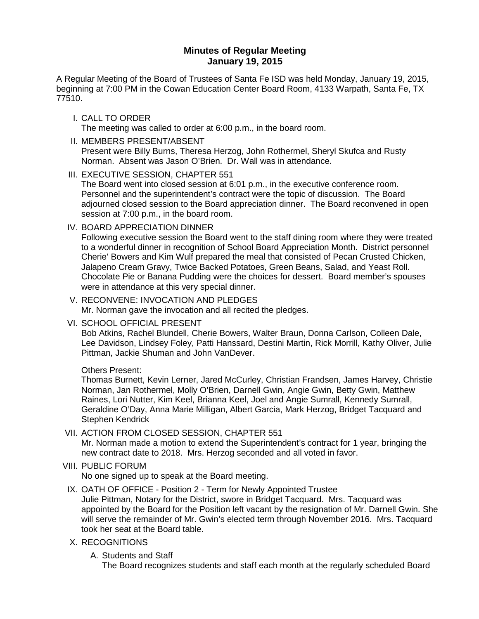# **Minutes of Regular Meeting January 19, 2015**

A Regular Meeting of the Board of Trustees of Santa Fe ISD was held Monday, January 19, 2015, beginning at 7:00 PM in the Cowan Education Center Board Room, 4133 Warpath, Santa Fe, TX 77510.

I. CALL TO ORDER

The meeting was called to order at 6:00 p.m., in the board room.

- II. MEMBERS PRESENT/ABSENT Present were Billy Burns, Theresa Herzog, John Rothermel, Sheryl Skufca and Rusty Norman. Absent was Jason O'Brien. Dr. Wall was in attendance.
- III. EXECUTIVE SESSION, CHAPTER 551

The Board went into closed session at 6:01 p.m., in the executive conference room. Personnel and the superintendent's contract were the topic of discussion. The Board adjourned closed session to the Board appreciation dinner. The Board reconvened in open session at 7:00 p.m., in the board room.

IV. BOARD APPRECIATION DINNER

Following executive session the Board went to the staff dining room where they were treated to a wonderful dinner in recognition of School Board Appreciation Month. District personnel Cherie' Bowers and Kim Wulf prepared the meal that consisted of Pecan Crusted Chicken, Jalapeno Cream Gravy, Twice Backed Potatoes, Green Beans, Salad, and Yeast Roll. Chocolate Pie or Banana Pudding were the choices for dessert. Board member's spouses were in attendance at this very special dinner.

- V. RECONVENE: INVOCATION AND PLEDGES Mr. Norman gave the invocation and all recited the pledges.
- VI. SCHOOL OFFICIAL PRESENT

Bob Atkins, Rachel Blundell, Cherie Bowers, Walter Braun, Donna Carlson, Colleen Dale, Lee Davidson, Lindsey Foley, Patti Hanssard, Destini Martin, Rick Morrill, Kathy Oliver, Julie Pittman, Jackie Shuman and John VanDever.

## Others Present:

Thomas Burnett, Kevin Lerner, Jared McCurley, Christian Frandsen, James Harvey, Christie Norman, Jan Rothermel, Molly O'Brien, Darnell Gwin, Angie Gwin, Betty Gwin, Matthew Raines, Lori Nutter, Kim Keel, Brianna Keel, Joel and Angie Sumrall, Kennedy Sumrall, Geraldine O'Day, Anna Marie Milligan, Albert Garcia, Mark Herzog, Bridget Tacquard and Stephen Kendrick

VII. ACTION FROM CLOSED SESSION, CHAPTER 551

Mr. Norman made a motion to extend the Superintendent's contract for 1 year, bringing the new contract date to 2018. Mrs. Herzog seconded and all voted in favor.

VIII. PUBLIC FORUM

No one signed up to speak at the Board meeting.

IX. OATH OF OFFICE - Position 2 - Term for Newly Appointed Trustee

Julie Pittman, Notary for the District, swore in Bridget Tacquard. Mrs. Tacquard was appointed by the Board for the Position left vacant by the resignation of Mr. Darnell Gwin. She will serve the remainder of Mr. Gwin's elected term through November 2016. Mrs. Tacquard took her seat at the Board table.

- X. RECOGNITIONS
	- A. Students and Staff

The Board recognizes students and staff each month at the regularly scheduled Board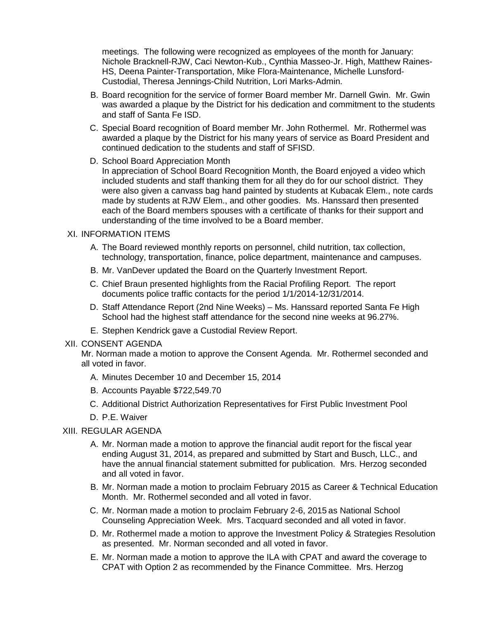meetings. The following were recognized as employees of the month for January: Nichole Bracknell-RJW, Caci Newton-Kub., Cynthia Masseo-Jr. High, Matthew Raines-HS, Deena Painter-Transportation, Mike Flora-Maintenance, Michelle Lunsford-Custodial, Theresa Jennings-Child Nutrition, Lori Marks-Admin.

- B. Board recognition for the service of former Board member Mr. Darnell Gwin. Mr. Gwin was awarded a plaque by the District for his dedication and commitment to the students and staff of Santa Fe ISD.
- C. Special Board recognition of Board member Mr. John Rothermel. Mr. Rothermel was awarded a plaque by the District for his many years of service as Board President and continued dedication to the students and staff of SFISD.
- D. School Board Appreciation Month

In appreciation of School Board Recognition Month, the Board enjoyed a video which included students and staff thanking them for all they do for our school district. They were also given a canvass bag hand painted by students at Kubacak Elem., note cards made by students at RJW Elem., and other goodies. Ms. Hanssard then presented each of the Board members spouses with a certificate of thanks for their support and understanding of the time involved to be a Board member.

#### XI. INFORMATION ITEMS

- A. The Board reviewed monthly reports on personnel, child nutrition, tax collection, technology, transportation, finance, police department, maintenance and campuses.
- B. Mr. VanDever updated the Board on the Quarterly Investment Report.
- C. Chief Braun presented highlights from the Racial Profiling Report. The report documents police traffic contacts for the period 1/1/2014-12/31/2014.
- D. Staff Attendance Report (2nd Nine Weeks) Ms. Hanssard reported Santa Fe High School had the highest staff attendance for the second nine weeks at 96.27%.
- E. Stephen Kendrick gave a Custodial Review Report.

#### XII. CONSENT AGENDA

Mr. Norman made a motion to approve the Consent Agenda. Mr. Rothermel seconded and all voted in favor.

- A. Minutes December 10 and December 15, 2014
- B. Accounts Payable \$722,549.70
- C. Additional District Authorization Representatives for First Public Investment Pool
- D. P.E. Waiver

## XIII. REGULAR AGENDA

- A. Mr. Norman made a motion to approve the financial audit report for the fiscal year ending August 31, 2014, as prepared and submitted by Start and Busch, LLC., and have the annual financial statement submitted for publication. Mrs. Herzog seconded and all voted in favor.
- B. Mr. Norman made a motion to proclaim February 2015 as Career & Technical Education Month. Mr. Rothermel seconded and all voted in favor.
- C. Mr. Norman made a motion to proclaim February 2-6, 2015 as National School Counseling Appreciation Week. Mrs. Tacquard seconded and all voted in favor.
- D. Mr. Rothermel made a motion to approve the Investment Policy & Strategies Resolution as presented. Mr. Norman seconded and all voted in favor.
- E. Mr. Norman made a motion to approve the ILA with CPAT and award the coverage to CPAT with Option 2 as recommended by the Finance Committee. Mrs. Herzog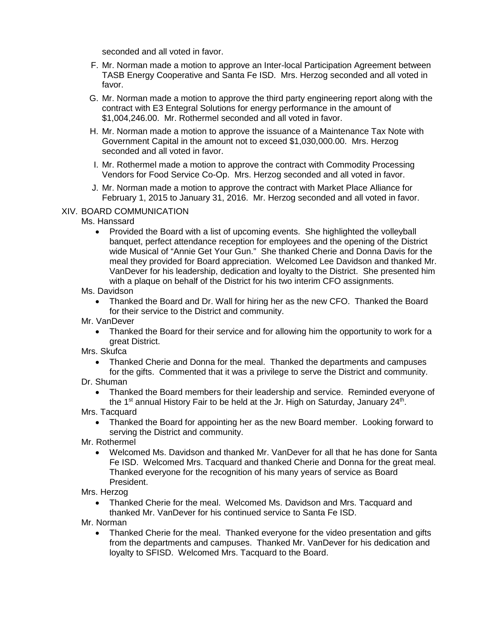seconded and all voted in favor.

- F. Mr. Norman made a motion to approve an Inter-local Participation Agreement between TASB Energy Cooperative and Santa Fe ISD. Mrs. Herzog seconded and all voted in favor.
- G. Mr. Norman made a motion to approve the third party engineering report along with the contract with E3 Entegral Solutions for energy performance in the amount of \$1,004,246.00. Mr. Rothermel seconded and all voted in favor.
- H. Mr. Norman made a motion to approve the issuance of a Maintenance Tax Note with Government Capital in the amount not to exceed \$1,030,000.00. Mrs. Herzog seconded and all voted in favor.
- I. Mr. Rothermel made a motion to approve the contract with Commodity Processing Vendors for Food Service Co-Op. Mrs. Herzog seconded and all voted in favor.
- J. Mr. Norman made a motion to approve the contract with Market Place Alliance for February 1, 2015 to January 31, 2016. Mr. Herzog seconded and all voted in favor.

## XIV. BOARD COMMUNICATION

#### Ms. Hanssard

- Provided the Board with a list of upcoming events. She highlighted the volleyball banquet, perfect attendance reception for employees and the opening of the District wide Musical of "Annie Get Your Gun." She thanked Cherie and Donna Davis for the meal they provided for Board appreciation. Welcomed Lee Davidson and thanked Mr. VanDever for his leadership, dedication and loyalty to the District. She presented him with a plaque on behalf of the District for his two interim CFO assignments.
- Ms. Davidson
	- Thanked the Board and Dr. Wall for hiring her as the new CFO. Thanked the Board for their service to the District and community.
- Mr. VanDever
	- Thanked the Board for their service and for allowing him the opportunity to work for a great District.
- Mrs. Skufca
	- Thanked Cherie and Donna for the meal. Thanked the departments and campuses for the gifts. Commented that it was a privilege to serve the District and community.
- Dr. Shuman
	- Thanked the Board members for their leadership and service. Reminded everyone of the 1<sup>st</sup> annual History Fair to be held at the Jr. High on Saturday, January 24<sup>th</sup>.

Mrs. Tacquard

- Thanked the Board for appointing her as the new Board member. Looking forward to serving the District and community.
- Mr. Rothermel
	- Welcomed Ms. Davidson and thanked Mr. VanDever for all that he has done for Santa Fe ISD. Welcomed Mrs. Tacquard and thanked Cherie and Donna for the great meal. Thanked everyone for the recognition of his many years of service as Board President.

Mrs. Herzog

- Thanked Cherie for the meal. Welcomed Ms. Davidson and Mrs. Tacquard and thanked Mr. VanDever for his continued service to Santa Fe ISD.
- Mr. Norman
	- Thanked Cherie for the meal. Thanked everyone for the video presentation and gifts from the departments and campuses. Thanked Mr. VanDever for his dedication and loyalty to SFISD. Welcomed Mrs. Tacquard to the Board.